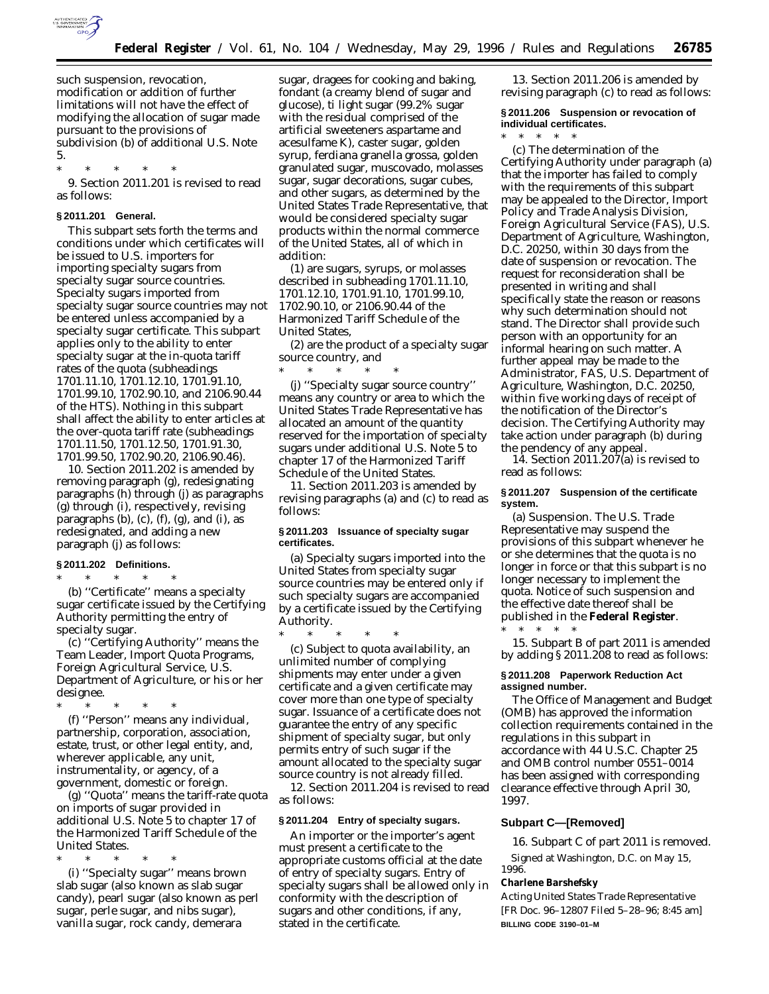

such suspension, revocation, modification or addition of further limitations will not have the effect of modifying the allocation of sugar made pursuant to the provisions of subdivision (b) of additional U.S. Note 5.

\* \* \* \* \* 9. Section 2011.201 is revised to read as follows:

## **§ 2011.201 General.**

This subpart sets forth the terms and conditions under which certificates will be issued to U.S. importers for importing specialty sugars from specialty sugar source countries. Specialty sugars imported from specialty sugar source countries may not be entered unless accompanied by a specialty sugar certificate. This subpart applies only to the ability to enter specialty sugar at the in-quota tariff rates of the quota (subheadings 1701.11.10, 1701.12.10, 1701.91.10, 1701.99.10, 1702.90.10, and 2106.90.44 of the HTS). Nothing in this subpart shall affect the ability to enter articles at the over-quota tariff rate (subheadings 1701.11.50, 1701.12.50, 1701.91.30, 1701.99.50, 1702.90.20, 2106.90.46).

10. Section 2011.202 is amended by removing paragraph (g), redesignating paragraphs (h) through (j) as paragraphs (g) through (i), respectively, revising paragraphs  $(b)$ ,  $(c)$ ,  $(f)$ ,  $(g)$ , and  $(i)$ , as redesignated, and adding a new paragraph (j) as follows:

# **§ 2011.202 Definitions.**

\* \* \* \* \*

(b) ''Certificate'' means a specialty sugar certificate issued by the Certifying Authority permitting the entry of specialty sugar.

(c) ''Certifying Authority'' means the Team Leader, Import Quota Programs, Foreign Agricultural Service, U.S. Department of Agriculture, or his or her designee.

\* \* \* \* \* (f) ''Person'' means any individual, partnership, corporation, association, estate, trust, or other legal entity, and, wherever applicable, any unit, instrumentality, or agency, of a government, domestic or foreign.

(g) ''Quota'' means the tariff-rate quota on imports of sugar provided in additional U.S. Note 5 to chapter 17 of the Harmonized Tariff Schedule of the United States.

\* \* \* \* \* (i) ''Specialty sugar'' means brown slab sugar (also known as slab sugar candy), pearl sugar (also known as perl sugar, perle sugar, and nibs sugar), vanilla sugar, rock candy, demerara

sugar, dragees for cooking and baking, fondant (a creamy blend of sugar and glucose), ti light sugar (99.2% sugar with the residual comprised of the artificial sweeteners aspartame and acesulfame K), caster sugar, golden syrup, ferdiana granella grossa, golden granulated sugar, muscovado, molasses sugar, sugar decorations, sugar cubes, and other sugars, as determined by the United States Trade Representative, that would be considered specialty sugar products within the normal commerce of the United States, all of which in addition:

(1) are sugars, syrups, or molasses described in subheading 1701.11.10, 1701.12.10, 1701.91.10, 1701.99.10, 1702.90.10, or 2106.90.44 of the Harmonized Tariff Schedule of the United States,

(2) are the product of a specialty sugar source country, and

\* \* \* \* \* (j) ''Specialty sugar source country'' means any country or area to which the United States Trade Representative has allocated an amount of the quantity reserved for the importation of specialty sugars under additional U.S. Note 5 to chapter 17 of the Harmonized Tariff Schedule of the United States.

11. Section 2011.203 is amended by revising paragraphs (a) and (c) to read as follows:

### **§ 2011.203 Issuance of specialty sugar certificates.**

(a) Specialty sugars imported into the United States from specialty sugar source countries may be entered only if such specialty sugars are accompanied by a certificate issued by the Certifying Authority.

\* \* \* \* \* (c) Subject to quota availability, an unlimited number of complying shipments may enter under a given certificate and a given certificate may cover more than one type of specialty sugar. Issuance of a certificate does not guarantee the entry of any specific shipment of specialty sugar, but only permits entry of such sugar if the amount allocated to the specialty sugar source country is not already filled.

12. Section 2011.204 is revised to read as follows:

# **§ 2011.204 Entry of specialty sugars.**

An importer or the importer's agent must present a certificate to the appropriate customs official at the date of entry of specialty sugars. Entry of specialty sugars shall be allowed only in conformity with the description of sugars and other conditions, if any, stated in the certificate.

13. Section 2011.206 is amended by revising paragraph (c) to read as follows:

**§ 2011.206 Suspension or revocation of individual certificates.**

\* \* \* \* \*

(c) The determination of the Certifying Authority under paragraph (a) that the importer has failed to comply with the requirements of this subpart may be appealed to the Director, Import Policy and Trade Analysis Division, Foreign Agricultural Service (FAS), U.S. Department of Agriculture, Washington, D.C. 20250, within 30 days from the date of suspension or revocation. The request for reconsideration shall be presented in writing and shall specifically state the reason or reasons why such determination should not stand. The Director shall provide such person with an opportunity for an informal hearing on such matter. A further appeal may be made to the Administrator, FAS, U.S. Department of Agriculture, Washington, D.C. 20250, within five working days of receipt of the notification of the Director's decision. The Certifying Authority may take action under paragraph (b) during the pendency of any appeal.

14. Section  $2011.207(a)$  is revised to read as follows:

#### **§ 2011.207 Suspension of the certificate system.**

(a) Suspension. The U.S. Trade Representative may suspend the provisions of this subpart whenever he or she determines that the quota is no longer in force or that this subpart is no longer necessary to implement the quota. Notice of such suspension and the effective date thereof shall be published in the **Federal Register**. \* \* \* \* \*

15. Subpart B of part 2011 is amended by adding § 2011.208 to read as follows:

### **§ 2011.208 Paperwork Reduction Act assigned number.**

The Office of Management and Budget (OMB) has approved the information collection requirements contained in the regulations in this subpart in accordance with 44 U.S.C. Chapter 25 and OMB control number 0551–0014 has been assigned with corresponding clearance effective through April 30, 1997.

### **Subpart C—[Removed]**

16. Subpart C of part 2011 is removed.

Signed at Washington, D.C. on May 15, 1996.

# **Charlene Barshefsky**

*Acting United States Trade Representative* [FR Doc. 96–12807 Filed 5–28–96; 8:45 am] **BILLING CODE 3190–01–M**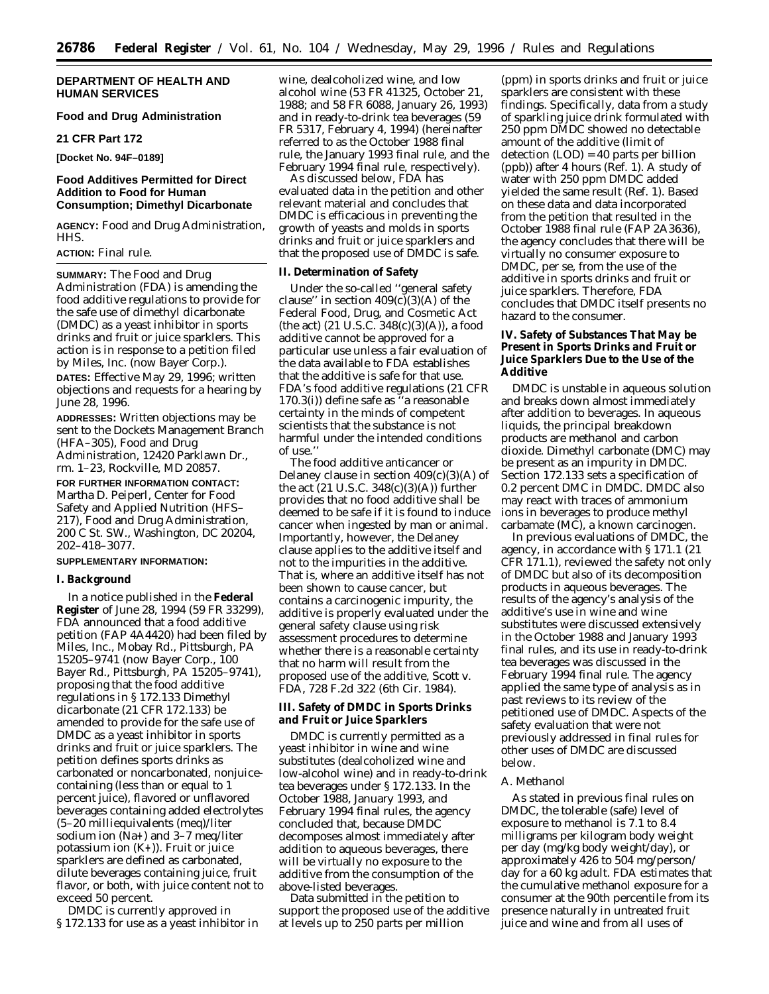# **DEPARTMENT OF HEALTH AND HUMAN SERVICES**

# **Food and Drug Administration**

### **21 CFR Part 172**

**[Docket No. 94F–0189]**

### **Food Additives Permitted for Direct Addition to Food for Human Consumption; Dimethyl Dicarbonate**

**AGENCY:** Food and Drug Administration, HHS.

# **ACTION:** Final rule.

**SUMMARY:** The Food and Drug Administration (FDA) is amending the food additive regulations to provide for the safe use of dimethyl dicarbonate (DMDC) as a yeast inhibitor in sports drinks and fruit or juice sparklers. This action is in response to a petition filed by Miles, Inc. (now Bayer Corp.).

**DATES:** Effective May 29, 1996; written objections and requests for a hearing by June 28, 1996.

**ADDRESSES:** Written objections may be sent to the Dockets Management Branch (HFA–305), Food and Drug Administration, 12420 Parklawn Dr., rm. 1–23, Rockville, MD 20857.

**FOR FURTHER INFORMATION CONTACT:** Martha D. Peiperl, Center for Food Safety and Applied Nutrition (HFS– 217), Food and Drug Administration, 200 C St. SW., Washington, DC 20204, 202–418–3077.

#### **SUPPLEMENTARY INFORMATION:**

### **I. Background**

In a notice published in the **Federal Register** of June 28, 1994 (59 FR 33299), FDA announced that a food additive petition (FAP 4A4420) had been filed by Miles, Inc., Mobay Rd., Pittsburgh, PA 15205–9741 (now Bayer Corp., 100 Bayer Rd., Pittsburgh, PA 15205–9741), proposing that the food additive regulations in § 172.133 *Dimethyl dicarbonate* (21 CFR 172.133) be amended to provide for the safe use of DMDC as a yeast inhibitor in sports drinks and fruit or juice sparklers. The petition defines sports drinks as carbonated or noncarbonated, nonjuicecontaining (less than or equal to 1 percent juice), flavored or unflavored beverages containing added electrolytes (5–20 milliequivalents (meq)/liter sodium ion (Na**+**) and 3–7 meq/liter potassium ion (K**+**)). Fruit or juice sparklers are defined as carbonated, dilute beverages containing juice, fruit flavor, or both, with juice content not to exceed 50 percent.

DMDC is currently approved in § 172.133 for use as a yeast inhibitor in wine, dealcoholized wine, and low alcohol wine (53 FR 41325, October 21, 1988; and 58 FR 6088, January 26, 1993) and in ready-to-drink tea beverages (59 FR 5317, February 4, 1994) (hereinafter referred to as the October 1988 final rule, the January 1993 final rule, and the February 1994 final rule, respectively).

As discussed below, FDA has evaluated data in the petition and other relevant material and concludes that DMDC is efficacious in preventing the growth of yeasts and molds in sports drinks and fruit or juice sparklers and that the proposed use of DMDC is safe.

# **II. Determination of Safety**

Under the so-called ''general safety clause" in section  $409(c)(3)(A)$  of the Federal Food, Drug, and Cosmetic Act (the act)  $(21 \text{ U.S.C. } 348(c)(3)(A))$ , a food additive cannot be approved for a particular use unless a fair evaluation of the data available to FDA establishes that the additive is safe for that use. FDA's food additive regulations (21 CFR 170.3(i)) define safe as ''a reasonable certainty in the minds of competent scientists that the substance is not harmful under the intended conditions of use.''

The food additive anticancer or Delaney clause in section  $409(c)(3)(A)$  of the act (21 U.S.C. 348(c)(3)(A)) further provides that no food additive shall be deemed to be safe if it is found to induce cancer when ingested by man or animal. Importantly, however, the Delaney clause applies to the additive itself and not to the impurities in the additive. That is, where an additive itself has not been shown to cause cancer, but contains a carcinogenic impurity, the additive is properly evaluated under the general safety clause using risk assessment procedures to determine whether there is a reasonable certainty that no harm will result from the proposed use of the additive, *Scott* v. *FDA*, 728 F.2d 322 (6th Cir. 1984).

**III. Safety of DMDC in Sports Drinks and Fruit or Juice Sparklers**

DMDC is currently permitted as a yeast inhibitor in wine and wine substitutes (dealcoholized wine and low-alcohol wine) and in ready-to-drink tea beverages under § 172.133. In the October 1988, January 1993, and February 1994 final rules, the agency concluded that, because DMDC decomposes almost immediately after addition to aqueous beverages, there will be virtually no exposure to the additive from the consumption of the above-listed beverages.

Data submitted in the petition to support the proposed use of the additive at levels up to 250 parts per million

(ppm) in sports drinks and fruit or juice sparklers are consistent with these findings. Specifically, data from a study of sparkling juice drink formulated with 250 ppm DMDC showed no detectable amount of the additive (limit of detection (LOD) = 40 parts per billion (ppb)) after 4 hours (Ref. 1). A study of water with 250 ppm DMDC added yielded the same result (Ref. 1). Based on these data and data incorporated from the petition that resulted in the October 1988 final rule (FAP 2A3636), the agency concludes that there will be virtually no consumer exposure to DMDC, per se, from the use of the additive in sports drinks and fruit or juice sparklers. Therefore, FDA concludes that DMDC itself presents no hazard to the consumer.

**IV. Safety of Substances That May be Present in Sports Drinks and Fruit or Juice Sparklers Due to the Use of the Additive**

DMDC is unstable in aqueous solution and breaks down almost immediately after addition to beverages. In aqueous liquids, the principal breakdown products are methanol and carbon dioxide. Dimethyl carbonate (DMC) may be present as an impurity in DMDC. Section 172.133 sets a specification of 0.2 percent DMC in DMDC. DMDC also may react with traces of ammonium ions in beverages to produce methyl carbamate (MC), a known carcinogen.

In previous evaluations of DMDC, the agency, in accordance with § 171.1 (21 CFR 171.1), reviewed the safety not only of DMDC but also of its decomposition products in aqueous beverages. The results of the agency's analysis of the additive's use in wine and wine substitutes were discussed extensively in the October 1988 and January 1993 final rules, and its use in ready-to-drink tea beverages was discussed in the February 1994 final rule. The agency applied the same type of analysis as in past reviews to its review of the petitioned use of DMDC. Aspects of the safety evaluation that were not previously addressed in final rules for other uses of DMDC are discussed below.

#### *A. Methanol*

As stated in previous final rules on DMDC, the tolerable (safe) level of exposure to methanol is 7.1 to 8.4 milligrams per kilogram body weight per day (mg/kg body weight/day), or approximately 426 to 504 mg/person/ day for a 60 kg adult. FDA estimates that the cumulative methanol exposure for a consumer at the 90th percentile from its presence naturally in untreated fruit juice and wine and from all uses of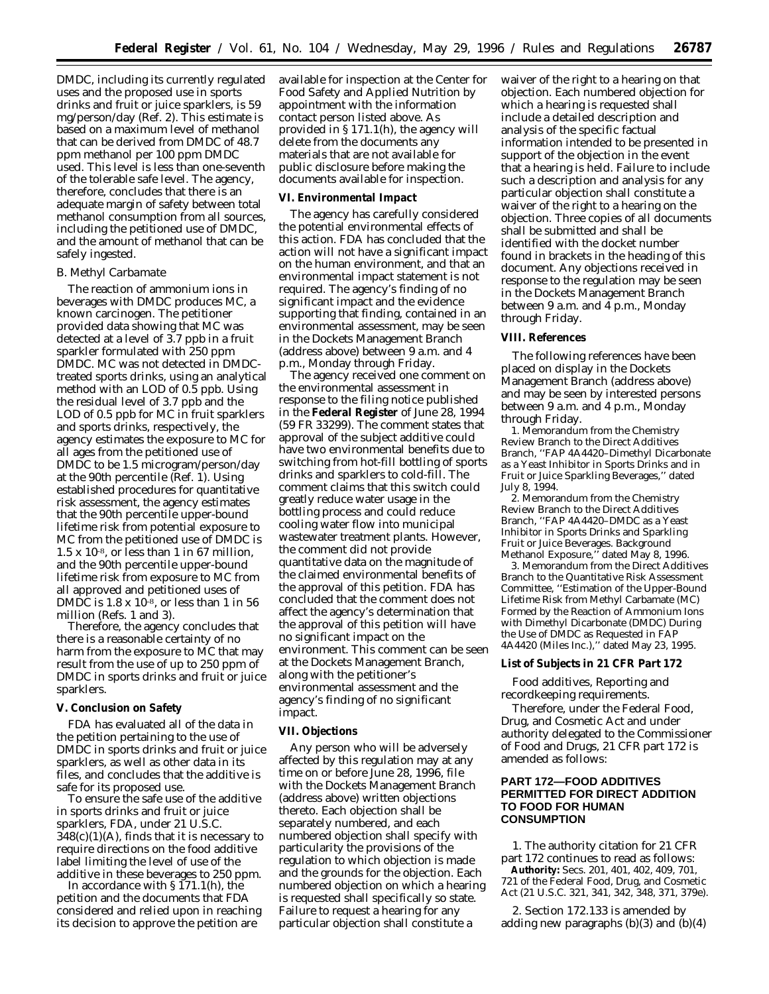DMDC, including its currently regulated uses and the proposed use in sports drinks and fruit or juice sparklers, is 59 mg/person/day (Ref. 2). This estimate is based on a maximum level of methanol that can be derived from DMDC of 48.7 ppm methanol per 100 ppm DMDC used. This level is less than one-seventh of the tolerable safe level. The agency, therefore, concludes that there is an adequate margin of safety between total methanol consumption from all sources, including the petitioned use of DMDC, and the amount of methanol that can be safely ingested.

#### *B. Methyl Carbamate*

The reaction of ammonium ions in beverages with DMDC produces MC, a known carcinogen. The petitioner provided data showing that MC was detected at a level of 3.7 ppb in a fruit sparkler formulated with 250 ppm DMDC. MC was not detected in DMDCtreated sports drinks, using an analytical method with an LOD of 0.5 ppb. Using the residual level of 3.7 ppb and the LOD of 0.5 ppb for MC in fruit sparklers and sports drinks, respectively, the agency estimates the exposure to MC for all ages from the petitioned use of DMDC to be 1.5 microgram/person/day at the 90th percentile (Ref. 1). Using established procedures for quantitative risk assessment, the agency estimates that the 90th percentile upper-bound lifetime risk from potential exposure to MC from the petitioned use of DMDC is  $1.5 \times 10^{-8}$ , or less than 1 in 67 million, and the 90th percentile upper-bound lifetime risk from exposure to MC from all approved and petitioned uses of DMDC is  $1.8 \times 10^{-8}$ , or less than 1 in 56 million (Refs. 1 and 3).

Therefore, the agency concludes that there is a reasonable certainty of no harm from the exposure to MC that may result from the use of up to 250 ppm of DMDC in sports drinks and fruit or juice sparklers.

# **V. Conclusion on Safety**

FDA has evaluated all of the data in the petition pertaining to the use of DMDC in sports drinks and fruit or juice sparklers, as well as other data in its files, and concludes that the additive is safe for its proposed use.

To ensure the safe use of the additive in sports drinks and fruit or juice sparklers, FDA, under 21 U.S.C.  $348(c)(1)(A)$ , finds that it is necessary to require directions on the food additive label limiting the level of use of the additive in these beverages to 250 ppm.

In accordance with § 171.1(h), the petition and the documents that FDA considered and relied upon in reaching its decision to approve the petition are

available for inspection at the Center for Food Safety and Applied Nutrition by appointment with the information contact person listed above. As provided in § 171.1(h), the agency will delete from the documents any materials that are not available for public disclosure before making the documents available for inspection.

# **VI. Environmental Impact**

The agency has carefully considered the potential environmental effects of this action. FDA has concluded that the action will not have a significant impact on the human environment, and that an environmental impact statement is not required. The agency's finding of no significant impact and the evidence supporting that finding, contained in an environmental assessment, may be seen in the Dockets Management Branch (address above) between 9 a.m. and 4 p.m., Monday through Friday.

The agency received one comment on the environmental assessment in response to the filing notice published in the **Federal Register** of June 28, 1994 (59 FR 33299). The comment states that approval of the subject additive could have two environmental benefits due to switching from hot-fill bottling of sports drinks and sparklers to cold-fill. The comment claims that this switch could greatly reduce water usage in the bottling process and could reduce cooling water flow into municipal wastewater treatment plants. However, the comment did not provide quantitative data on the magnitude of the claimed environmental benefits of the approval of this petition. FDA has concluded that the comment does not affect the agency's determination that the approval of this petition will have no significant impact on the environment. This comment can be seen at the Dockets Management Branch, along with the petitioner's environmental assessment and the agency's finding of no significant impact.

### **VII. Objections**

Any person who will be adversely affected by this regulation may at any time on or before June 28, 1996, file with the Dockets Management Branch (address above) written objections thereto. Each objection shall be separately numbered, and each numbered objection shall specify with particularity the provisions of the regulation to which objection is made and the grounds for the objection. Each numbered objection on which a hearing is requested shall specifically so state. Failure to request a hearing for any particular objection shall constitute a

waiver of the right to a hearing on that objection. Each numbered objection for which a hearing is requested shall include a detailed description and analysis of the specific factual information intended to be presented in support of the objection in the event that a hearing is held. Failure to include such a description and analysis for any particular objection shall constitute a waiver of the right to a hearing on the objection. Three copies of all documents shall be submitted and shall be identified with the docket number found in brackets in the heading of this document. Any objections received in response to the regulation may be seen in the Dockets Management Branch between 9 a.m. and 4 p.m., Monday through Friday.

#### **VIII. References**

The following references have been placed on display in the Dockets Management Branch (address above) and may be seen by interested persons between 9 a.m. and 4 p.m., Monday through Friday.

1. Memorandum from the Chemistry Review Branch to the Direct Additives Branch, ''FAP 4A4420–Dimethyl Dicarbonate as a Yeast Inhibitor in Sports Drinks and in Fruit or Juice Sparkling Beverages,'' dated July 8, 1994.

2. Memorandum from the Chemistry Review Branch to the Direct Additives Branch, ''FAP 4A4420–DMDC as a Yeast Inhibitor in Sports Drinks and Sparkling Fruit or Juice Beverages. Background Methanol Exposure,'' dated May 8, 1996.

3. Memorandum from the Direct Additives Branch to the Quantitative Risk Assessment Committee, ''Estimation of the Upper-Bound Lifetime Risk from Methyl Carbamate (MC) Formed by the Reaction of Ammonium Ions with Dimethyl Dicarbonate (DMDC) During the Use of DMDC as Requested in FAP 4A4420 (Miles Inc.),'' dated May 23, 1995.

# **List of Subjects in 21 CFR Part 172**

Food additives, Reporting and recordkeeping requirements.

Therefore, under the Federal Food, Drug, and Cosmetic Act and under authority delegated to the Commissioner of Food and Drugs, 21 CFR part 172 is amended as follows:

# **PART 172—FOOD ADDITIVES PERMITTED FOR DIRECT ADDITION TO FOOD FOR HUMAN CONSUMPTION**

1. The authority citation for 21 CFR part 172 continues to read as follows: **Authority:** Secs. 201, 401, 402, 409, 701, 721 of the Federal Food, Drug, and Cosmetic Act (21 U.S.C. 321, 341, 342, 348, 371, 379e).

2. Section 172.133 is amended by adding new paragraphs  $(b)(3)$  and  $(b)(4)$